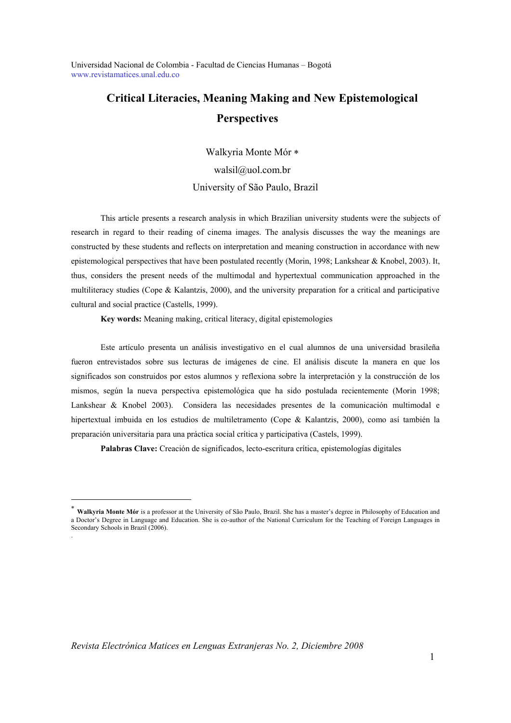# **Critical Literacies, Meaning Making and New Epistemological Perspectives**

Walkyria Monte Mór walsil@uol.com.br University of São Paulo, Brazil

This article presents a research analysis in which Brazilian university students were the subjects of research in regard to their reading of cinema images. The analysis discusses the way the meanings are constructed by these students and reflects on interpretation and meaning construction in accordance with new epistemological perspectives that have been postulated recently (Morin, 1998; Lankshear & Knobel, 2003). It, thus, considers the present needs of the multimodal and hypertextual communication approached in the multiliteracy studies (Cope & Kalantzis, 2000), and the university preparation for a critical and participative cultural and social practice (Castells, 1999).

**Key words:** Meaning making, critical literacy, digital epistemologies

Este artículo presenta un análisis investigativo en el cual alumnos de una universidad brasileña fueron entrevistados sobre sus lecturas de imágenes de cine. El análisis discute la manera en que los significados son construidos por estos alumnos y reflexiona sobre la interpretación y la construcción de los mismos, según la nueva perspectiva epistemológica que ha sido postulada recientemente (Morin 1998; Lankshear & Knobel 2003). Considera las necesidades presentes de la comunicación multimodal e hipertextual imbuida en los estudios de multiletramento (Cope & Kalantzis, 2000), como así también la preparación universitaria para una práctica social crítica y participativa (Castels, 1999).

**Palabras Clave:** Creación de significados, lecto-escritura crítica, epistemologías digitales

-

 **Walkyria Monte Mór** is a professor at the University of São Paulo, Brazil. She has a master's degree in Philosophy of Education and a Doctor's Degree in Language and Education. She is co-author of the National Curriculum for the Teaching of Foreign Languages in Secondary Schools in Brazil (2006). .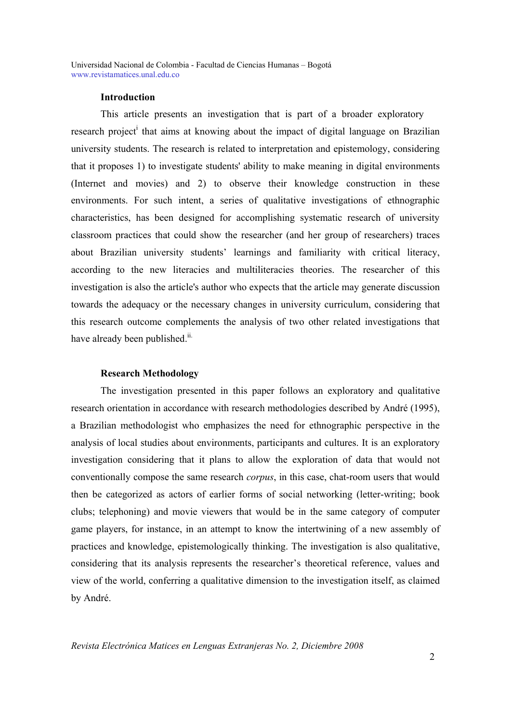# **Introduction**

This article presents an investigation that is part of a broader exploratory research project<sup>i</sup> that aims at knowing about the impact of digital language on Brazilian university students. The research is related to interpretation and epistemology, considering that it proposes 1) to investigate students' ability to make meaning in digital environments (Internet and movies) and 2) to observe their knowledge construction in these environments. For such intent, a series of qualitative investigations of ethnographic characteristics, has been designed for accomplishing systematic research of university classroom practices that could show the researcher (and her group of researchers) traces about Brazilian university students' learnings and familiarity with critical literacy, according to the new literacies and multiliteracies theories. The researcher of this investigation is also the article's author who expects that the article may generate discussion towards the adequacy or the necessary changes in university curriculum, considering that this research outcome complements the analysis of two other related investigations that have already been published.<sup>ii.</sup>

# **Research Methodology**

The investigation presented in this paper follows an exploratory and qualitative research orientation in accordance with research methodologies described by André (1995), a Brazilian methodologist who emphasizes the need for ethnographic perspective in the analysis of local studies about environments, participants and cultures. It is an exploratory investigation considering that it plans to allow the exploration of data that would not conventionally compose the same research *corpus*, in this case, chat-room users that would then be categorized as actors of earlier forms of social networking (letter-writing; book clubs; telephoning) and movie viewers that would be in the same category of computer game players, for instance, in an attempt to know the intertwining of a new assembly of practices and knowledge, epistemologically thinking. The investigation is also qualitative, considering that its analysis represents the researcher's theoretical reference, values and view of the world, conferring a qualitative dimension to the investigation itself, as claimed by André.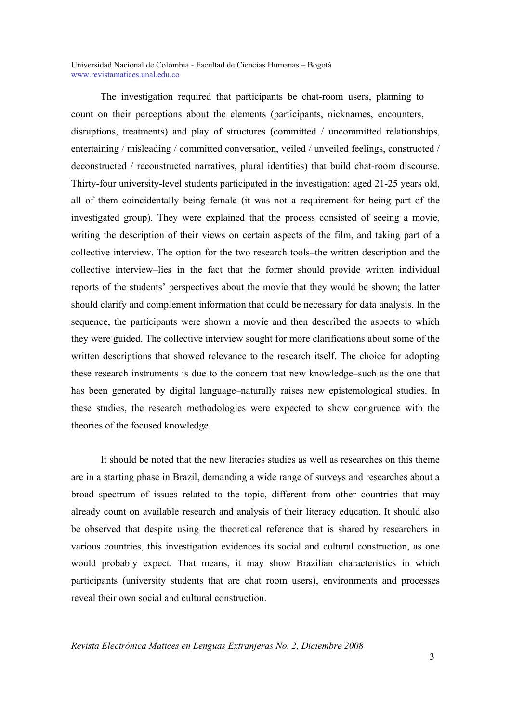The investigation required that participants be chat-room users, planning to count on their perceptions about the elements (participants, nicknames, encounters, disruptions, treatments) and play of structures (committed / uncommitted relationships, entertaining / misleading / committed conversation, veiled / unveiled feelings, constructed / deconstructed / reconstructed narratives, plural identities) that build chat-room discourse. Thirty-four university-level students participated in the investigation: aged 21-25 years old, all of them coincidentally being female (it was not a requirement for being part of the investigated group). They were explained that the process consisted of seeing a movie, writing the description of their views on certain aspects of the film, and taking part of a collective interview. The option for the two research tools–the written description and the collective interview–lies in the fact that the former should provide written individual reports of the students' perspectives about the movie that they would be shown; the latter should clarify and complement information that could be necessary for data analysis. In the sequence, the participants were shown a movie and then described the aspects to which they were guided. The collective interview sought for more clarifications about some of the written descriptions that showed relevance to the research itself. The choice for adopting these research instruments is due to the concern that new knowledge–such as the one that has been generated by digital language–naturally raises new epistemological studies. In these studies, the research methodologies were expected to show congruence with the theories of the focused knowledge.

It should be noted that the new literacies studies as well as researches on this theme are in a starting phase in Brazil, demanding a wide range of surveys and researches about a broad spectrum of issues related to the topic, different from other countries that may already count on available research and analysis of their literacy education. It should also be observed that despite using the theoretical reference that is shared by researchers in various countries, this investigation evidences its social and cultural construction, as one would probably expect. That means, it may show Brazilian characteristics in which participants (university students that are chat room users), environments and processes reveal their own social and cultural construction.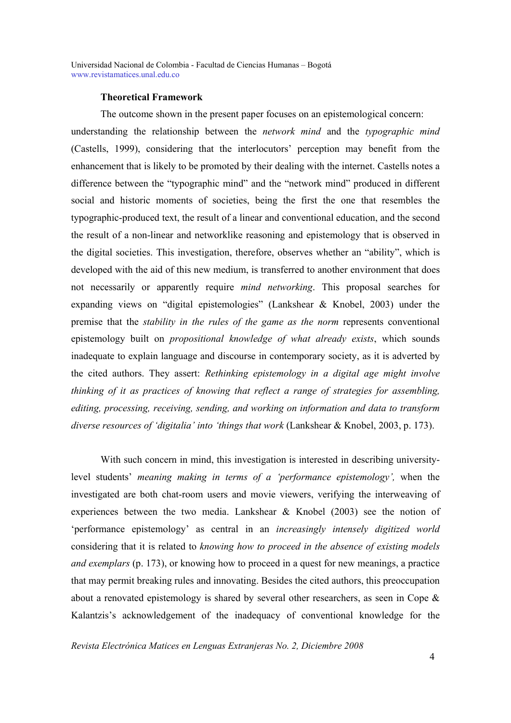#### **Theoretical Framework**

The outcome shown in the present paper focuses on an epistemological concern: understanding the relationship between the *network mind* and the *typographic mind*  (Castells, 1999), considering that the interlocutors' perception may benefit from the enhancement that is likely to be promoted by their dealing with the internet. Castells notes a difference between the "typographic mind" and the "network mind" produced in different social and historic moments of societies, being the first the one that resembles the typographic-produced text, the result of a linear and conventional education, and the second the result of a non-linear and networklike reasoning and epistemology that is observed in the digital societies. This investigation, therefore, observes whether an "ability", which is developed with the aid of this new medium, is transferred to another environment that does not necessarily or apparently require *mind networking*. This proposal searches for expanding views on "digital epistemologies" (Lankshear & Knobel, 2003) under the premise that the *stability in the rules of the game as the norm* represents conventional epistemology built on *propositional knowledge of what already exists*, which sounds inadequate to explain language and discourse in contemporary society, as it is adverted by the cited authors. They assert: *Rethinking epistemology in a digital age might involve thinking of it as practices of knowing that reflect a range of strategies for assembling, editing, processing, receiving, sending, and working on information and data to transform diverse resources of 'digitalia' into 'things that work* (Lankshear & Knobel, 2003, p. 173).

With such concern in mind, this investigation is interested in describing universitylevel students' *meaning making in terms of a 'performance epistemology',* when the investigated are both chat-room users and movie viewers, verifying the interweaving of experiences between the two media. Lankshear & Knobel (2003) see the notion of 'performance epistemology' as central in an *increasingly intensely digitized world* considering that it is related to *knowing how to proceed in the absence of existing models and exemplars* (p. 173), or knowing how to proceed in a quest for new meanings, a practice that may permit breaking rules and innovating. Besides the cited authors, this preoccupation about a renovated epistemology is shared by several other researchers, as seen in Cope & Kalantzis's acknowledgement of the inadequacy of conventional knowledge for the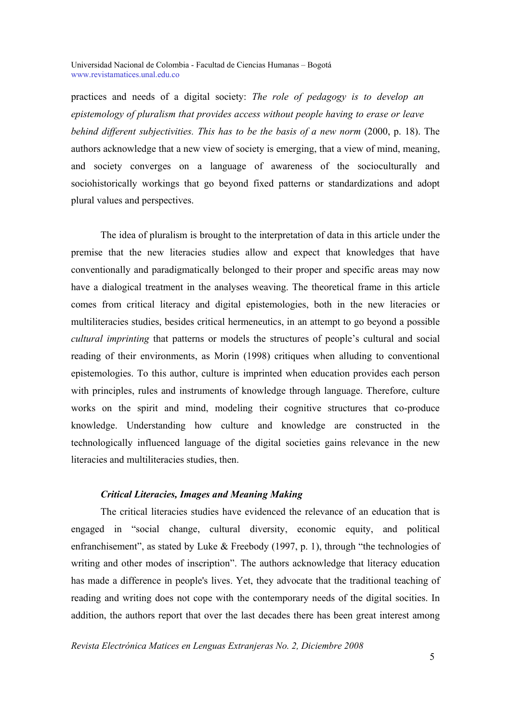practices and needs of a digital society: *The role of pedagogy is to develop an epistemology of pluralism that provides access without people having to erase or leave behind different subjectivities. This has to be the basis of a new norm* (2000, p. 18). The authors acknowledge that a new view of society is emerging, that a view of mind, meaning, and society converges on a language of awareness of the socioculturally and sociohistorically workings that go beyond fixed patterns or standardizations and adopt plural values and perspectives.

The idea of pluralism is brought to the interpretation of data in this article under the premise that the new literacies studies allow and expect that knowledges that have conventionally and paradigmatically belonged to their proper and specific areas may now have a dialogical treatment in the analyses weaving. The theoretical frame in this article comes from critical literacy and digital epistemologies, both in the new literacies or multiliteracies studies, besides critical hermeneutics, in an attempt to go beyond a possible *cultural imprinting* that patterns or models the structures of people's cultural and social reading of their environments, as Morin (1998) critiques when alluding to conventional epistemologies. To this author, culture is imprinted when education provides each person with principles, rules and instruments of knowledge through language. Therefore, culture works on the spirit and mind, modeling their cognitive structures that co-produce knowledge. Understanding how culture and knowledge are constructed in the technologically influenced language of the digital societies gains relevance in the new literacies and multiliteracies studies, then.

# *Critical Literacies, Images and Meaning Making*

The critical literacies studies have evidenced the relevance of an education that is engaged in "social change, cultural diversity, economic equity, and political enfranchisement", as stated by Luke & Freebody (1997, p. 1), through "the technologies of writing and other modes of inscription". The authors acknowledge that literacy education has made a difference in people's lives. Yet, they advocate that the traditional teaching of reading and writing does not cope with the contemporary needs of the digital socities. In addition, the authors report that over the last decades there has been great interest among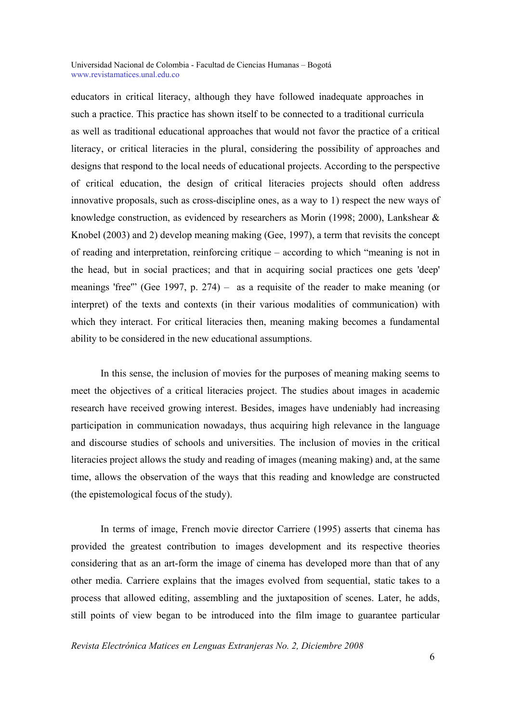educators in critical literacy, although they have followed inadequate approaches in such a practice. This practice has shown itself to be connected to a traditional curricula as well as traditional educational approaches that would not favor the practice of a critical literacy, or critical literacies in the plural, considering the possibility of approaches and designs that respond to the local needs of educational projects. According to the perspective of critical education, the design of critical literacies projects should often address innovative proposals, such as cross-discipline ones, as a way to 1) respect the new ways of knowledge construction, as evidenced by researchers as Morin (1998; 2000), Lankshear & Knobel (2003) and 2) develop meaning making (Gee, 1997), a term that revisits the concept of reading and interpretation, reinforcing critique – according to which "meaning is not in the head, but in social practices; and that in acquiring social practices one gets 'deep' meanings 'free'" (Gee 1997, p. 274) – as a requisite of the reader to make meaning (or interpret) of the texts and contexts (in their various modalities of communication) with which they interact. For critical literacies then, meaning making becomes a fundamental ability to be considered in the new educational assumptions.

In this sense, the inclusion of movies for the purposes of meaning making seems to meet the objectives of a critical literacies project. The studies about images in academic research have received growing interest. Besides, images have undeniably had increasing participation in communication nowadays, thus acquiring high relevance in the language and discourse studies of schools and universities. The inclusion of movies in the critical literacies project allows the study and reading of images (meaning making) and, at the same time, allows the observation of the ways that this reading and knowledge are constructed (the epistemological focus of the study).

In terms of image, French movie director Carriere (1995) asserts that cinema has provided the greatest contribution to images development and its respective theories considering that as an art-form the image of cinema has developed more than that of any other media. Carriere explains that the images evolved from sequential, static takes to a process that allowed editing, assembling and the juxtaposition of scenes. Later, he adds, still points of view began to be introduced into the film image to guarantee particular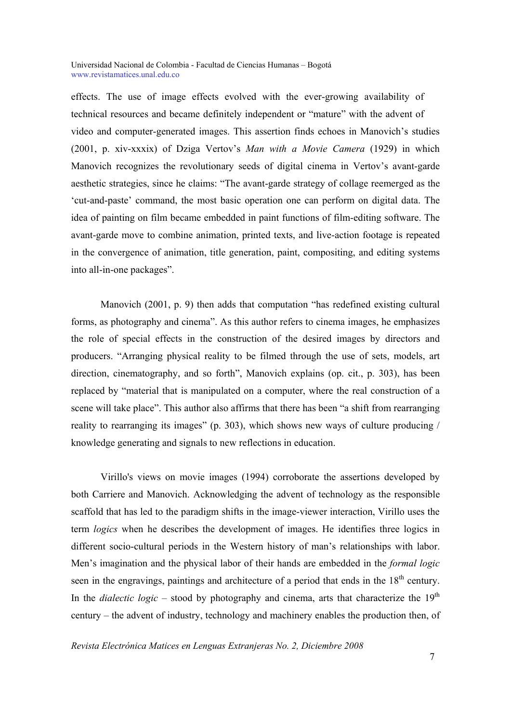effects. The use of image effects evolved with the ever-growing availability of technical resources and became definitely independent or "mature" with the advent of video and computer-generated images. This assertion finds echoes in Manovich's studies (2001, p. xiv-xxxix) of Dziga Vertov's *Man with a Movie Camera* (1929) in which Manovich recognizes the revolutionary seeds of digital cinema in Vertov's avant-garde aesthetic strategies, since he claims: "The avant-garde strategy of collage reemerged as the 'cut-and-paste' command, the most basic operation one can perform on digital data. The idea of painting on film became embedded in paint functions of film-editing software. The avant-garde move to combine animation, printed texts, and live-action footage is repeated in the convergence of animation, title generation, paint, compositing, and editing systems into all-in-one packages".

Manovich (2001, p. 9) then adds that computation "has redefined existing cultural forms, as photography and cinema". As this author refers to cinema images, he emphasizes the role of special effects in the construction of the desired images by directors and producers. "Arranging physical reality to be filmed through the use of sets, models, art direction, cinematography, and so forth", Manovich explains (op. cit., p. 303), has been replaced by "material that is manipulated on a computer, where the real construction of a scene will take place". This author also affirms that there has been "a shift from rearranging reality to rearranging its images" (p. 303), which shows new ways of culture producing / knowledge generating and signals to new reflections in education.

Virillo's views on movie images (1994) corroborate the assertions developed by both Carriere and Manovich. Acknowledging the advent of technology as the responsible scaffold that has led to the paradigm shifts in the image-viewer interaction, Virillo uses the term *logics* when he describes the development of images. He identifies three logics in different socio-cultural periods in the Western history of man's relationships with labor. Men's imagination and the physical labor of their hands are embedded in the *formal logic* seen in the engravings, paintings and architecture of a period that ends in the 18<sup>th</sup> century. In the *dialectic logic* – stood by photography and cinema, arts that characterize the  $19<sup>th</sup>$ century – the advent of industry, technology and machinery enables the production then, of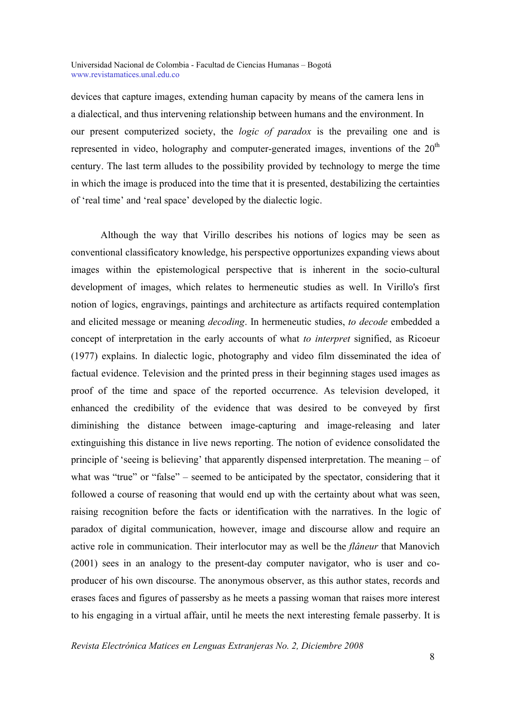devices that capture images, extending human capacity by means of the camera lens in a dialectical, and thus intervening relationship between humans and the environment. In our present computerized society, the *logic of paradox* is the prevailing one and is represented in video, holography and computer-generated images, inventions of the  $20<sup>th</sup>$ century. The last term alludes to the possibility provided by technology to merge the time in which the image is produced into the time that it is presented, destabilizing the certainties of 'real time' and 'real space' developed by the dialectic logic.

Although the way that Virillo describes his notions of logics may be seen as conventional classificatory knowledge, his perspective opportunizes expanding views about images within the epistemological perspective that is inherent in the socio-cultural development of images, which relates to hermeneutic studies as well. In Virillo's first notion of logics, engravings, paintings and architecture as artifacts required contemplation and elicited message or meaning *decoding*. In hermeneutic studies, *to decode* embedded a concept of interpretation in the early accounts of what *to interpret* signified, as Ricoeur (1977) explains. In dialectic logic, photography and video film disseminated the idea of factual evidence. Television and the printed press in their beginning stages used images as proof of the time and space of the reported occurrence. As television developed, it enhanced the credibility of the evidence that was desired to be conveyed by first diminishing the distance between image-capturing and image-releasing and later extinguishing this distance in live news reporting. The notion of evidence consolidated the principle of 'seeing is believing' that apparently dispensed interpretation. The meaning – of what was "true" or "false" – seemed to be anticipated by the spectator, considering that it followed a course of reasoning that would end up with the certainty about what was seen, raising recognition before the facts or identification with the narratives. In the logic of paradox of digital communication, however, image and discourse allow and require an active role in communication. Their interlocutor may as well be the *flâneur* that Manovich (2001) sees in an analogy to the present-day computer navigator, who is user and coproducer of his own discourse. The anonymous observer, as this author states, records and erases faces and figures of passersby as he meets a passing woman that raises more interest to his engaging in a virtual affair, until he meets the next interesting female passerby. It is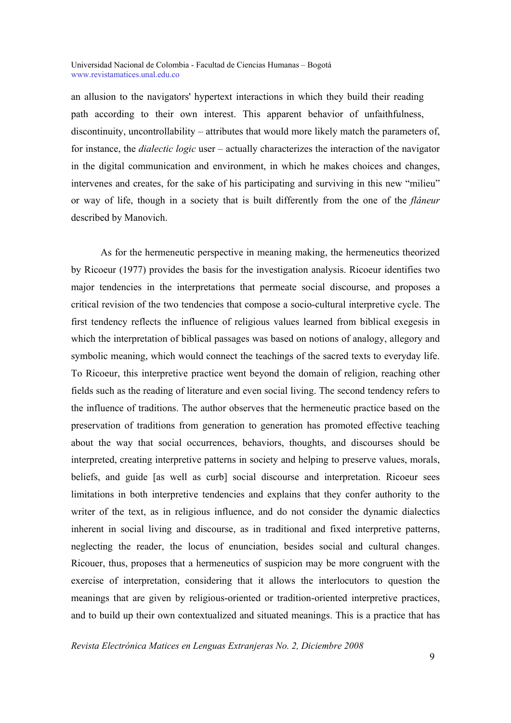an allusion to the navigators' hypertext interactions in which they build their reading path according to their own interest. This apparent behavior of unfaithfulness, discontinuity, uncontrollability – attributes that would more likely match the parameters of, for instance, the *dialectic logic* user – actually characterizes the interaction of the navigator in the digital communication and environment, in which he makes choices and changes, intervenes and creates, for the sake of his participating and surviving in this new "milieu" or way of life, though in a society that is built differently from the one of the *flâneur*  described by Manovich.

As for the hermeneutic perspective in meaning making, the hermeneutics theorized by Ricoeur (1977) provides the basis for the investigation analysis. Ricoeur identifies two major tendencies in the interpretations that permeate social discourse, and proposes a critical revision of the two tendencies that compose a socio-cultural interpretive cycle. The first tendency reflects the influence of religious values learned from biblical exegesis in which the interpretation of biblical passages was based on notions of analogy, allegory and symbolic meaning, which would connect the teachings of the sacred texts to everyday life. To Ricoeur, this interpretive practice went beyond the domain of religion, reaching other fields such as the reading of literature and even social living. The second tendency refers to the influence of traditions. The author observes that the hermeneutic practice based on the preservation of traditions from generation to generation has promoted effective teaching about the way that social occurrences, behaviors, thoughts, and discourses should be interpreted, creating interpretive patterns in society and helping to preserve values, morals, beliefs, and guide [as well as curb] social discourse and interpretation. Ricoeur sees limitations in both interpretive tendencies and explains that they confer authority to the writer of the text, as in religious influence, and do not consider the dynamic dialectics inherent in social living and discourse, as in traditional and fixed interpretive patterns, neglecting the reader, the locus of enunciation, besides social and cultural changes. Ricouer, thus, proposes that a hermeneutics of suspicion may be more congruent with the exercise of interpretation, considering that it allows the interlocutors to question the meanings that are given by religious-oriented or tradition-oriented interpretive practices, and to build up their own contextualized and situated meanings. This is a practice that has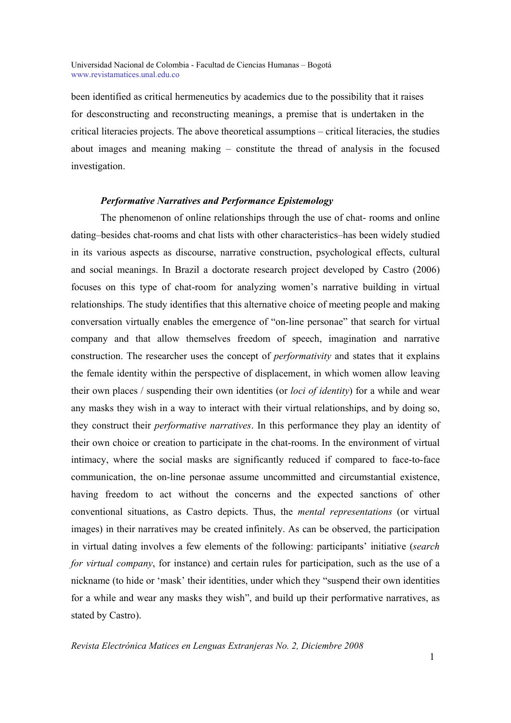been identified as critical hermeneutics by academics due to the possibility that it raises for desconstructing and reconstructing meanings, a premise that is undertaken in the critical literacies projects. The above theoretical assumptions – critical literacies, the studies about images and meaning making – constitute the thread of analysis in the focused investigation.

### *Performative Narratives and Performance Epistemology*

The phenomenon of online relationships through the use of chat- rooms and online dating–besides chat-rooms and chat lists with other characteristics–has been widely studied in its various aspects as discourse, narrative construction, psychological effects, cultural and social meanings. In Brazil a doctorate research project developed by Castro (2006) focuses on this type of chat-room for analyzing women's narrative building in virtual relationships. The study identifies that this alternative choice of meeting people and making conversation virtually enables the emergence of "on-line personae" that search for virtual company and that allow themselves freedom of speech, imagination and narrative construction. The researcher uses the concept of *performativity* and states that it explains the female identity within the perspective of displacement, in which women allow leaving their own places / suspending their own identities (or *loci of identity*) for a while and wear any masks they wish in a way to interact with their virtual relationships, and by doing so, they construct their *performative narratives*. In this performance they play an identity of their own choice or creation to participate in the chat-rooms. In the environment of virtual intimacy, where the social masks are significantly reduced if compared to face-to-face communication, the on-line personae assume uncommitted and circumstantial existence, having freedom to act without the concerns and the expected sanctions of other conventional situations, as Castro depicts. Thus, the *mental representations* (or virtual images) in their narratives may be created infinitely. As can be observed, the participation in virtual dating involves a few elements of the following: participants' initiative (*search for virtual company*, for instance) and certain rules for participation, such as the use of a nickname (to hide or 'mask' their identities, under which they "suspend their own identities for a while and wear any masks they wish", and build up their performative narratives, as stated by Castro).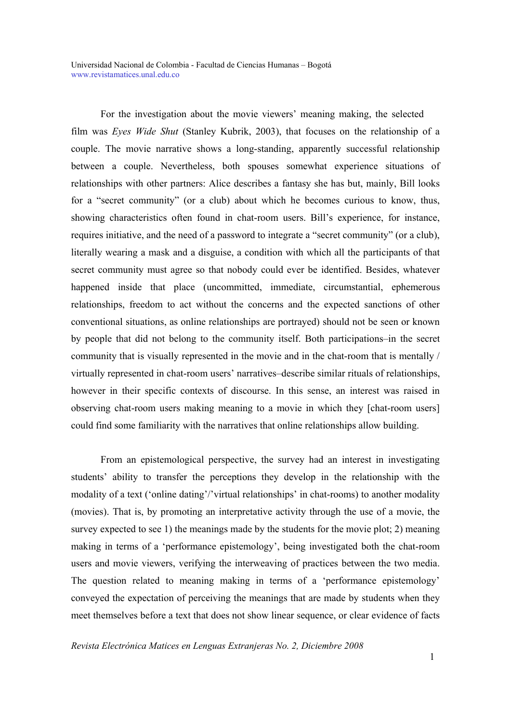For the investigation about the movie viewers' meaning making, the selected film was *Eyes Wide Shut* (Stanley Kubrik, 2003), that focuses on the relationship of a couple. The movie narrative shows a long-standing, apparently successful relationship between a couple. Nevertheless, both spouses somewhat experience situations of relationships with other partners: Alice describes a fantasy she has but, mainly, Bill looks for a "secret community" (or a club) about which he becomes curious to know, thus, showing characteristics often found in chat-room users. Bill's experience, for instance, requires initiative, and the need of a password to integrate a "secret community" (or a club), literally wearing a mask and a disguise, a condition with which all the participants of that secret community must agree so that nobody could ever be identified. Besides, whatever happened inside that place (uncommitted, immediate, circumstantial, ephemerous relationships, freedom to act without the concerns and the expected sanctions of other conventional situations, as online relationships are portrayed) should not be seen or known by people that did not belong to the community itself. Both participations–in the secret community that is visually represented in the movie and in the chat-room that is mentally / virtually represented in chat-room users' narratives–describe similar rituals of relationships, however in their specific contexts of discourse. In this sense, an interest was raised in observing chat-room users making meaning to a movie in which they [chat-room users] could find some familiarity with the narratives that online relationships allow building.

From an epistemological perspective, the survey had an interest in investigating students' ability to transfer the perceptions they develop in the relationship with the modality of a text ('online dating'/'virtual relationships' in chat-rooms) to another modality (movies). That is, by promoting an interpretative activity through the use of a movie, the survey expected to see 1) the meanings made by the students for the movie plot; 2) meaning making in terms of a 'performance epistemology', being investigated both the chat-room users and movie viewers, verifying the interweaving of practices between the two media. The question related to meaning making in terms of a 'performance epistemology' conveyed the expectation of perceiving the meanings that are made by students when they meet themselves before a text that does not show linear sequence, or clear evidence of facts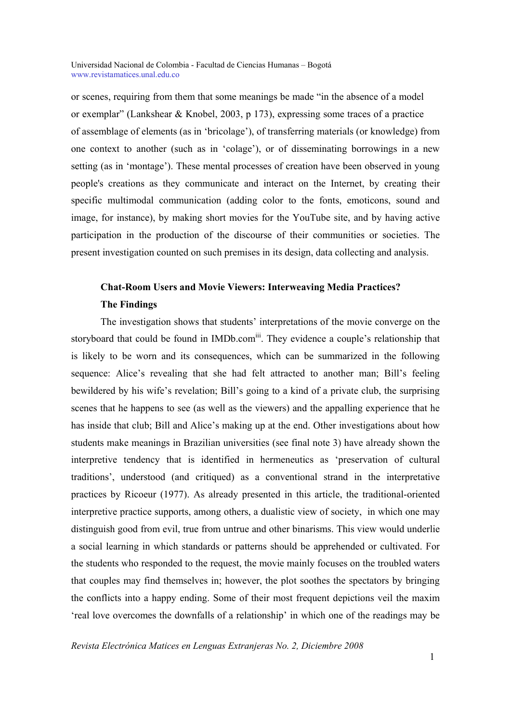or scenes, requiring from them that some meanings be made "in the absence of a model or exemplar" (Lankshear & Knobel, 2003, p 173), expressing some traces of a practice of assemblage of elements (as in 'bricolage'), of transferring materials (or knowledge) from one context to another (such as in 'colage'), or of disseminating borrowings in a new setting (as in 'montage'). These mental processes of creation have been observed in young people's creations as they communicate and interact on the Internet, by creating their specific multimodal communication (adding color to the fonts, emoticons, sound and image, for instance), by making short movies for the YouTube site, and by having active participation in the production of the discourse of their communities or societies. The present investigation counted on such premises in its design, data collecting and analysis.

# **Chat-Room Users and Movie Viewers: Interweaving Media Practices? The Findings**

The investigation shows that students' interpretations of the movie converge on the storyboard that could be found in IMDb.com<sup>iii</sup>. They evidence a couple's relationship that is likely to be worn and its consequences, which can be summarized in the following sequence: Alice's revealing that she had felt attracted to another man; Bill's feeling bewildered by his wife's revelation; Bill's going to a kind of a private club, the surprising scenes that he happens to see (as well as the viewers) and the appalling experience that he has inside that club; Bill and Alice's making up at the end. Other investigations about how students make meanings in Brazilian universities (see final note 3) have already shown the interpretive tendency that is identified in hermeneutics as 'preservation of cultural traditions', understood (and critiqued) as a conventional strand in the interpretative practices by Ricoeur (1977). As already presented in this article, the traditional-oriented interpretive practice supports, among others, a dualistic view of society, in which one may distinguish good from evil, true from untrue and other binarisms. This view would underlie a social learning in which standards or patterns should be apprehended or cultivated. For the students who responded to the request, the movie mainly focuses on the troubled waters that couples may find themselves in; however, the plot soothes the spectators by bringing the conflicts into a happy ending. Some of their most frequent depictions veil the maxim 'real love overcomes the downfalls of a relationship' in which one of the readings may be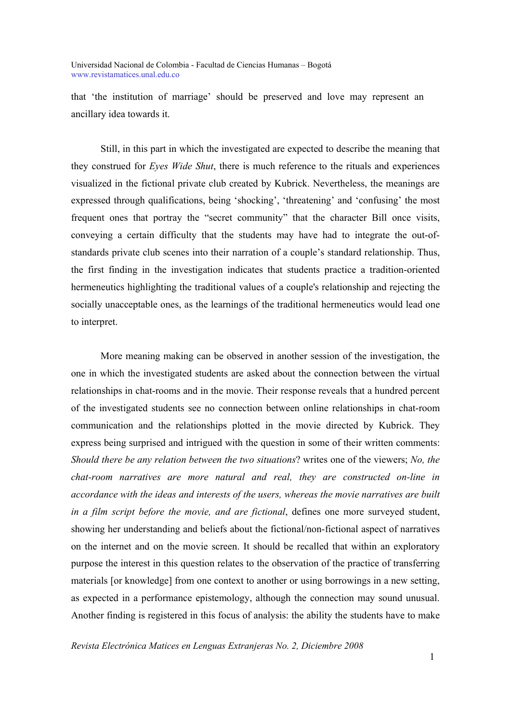that 'the institution of marriage' should be preserved and love may represent an ancillary idea towards it.

Still, in this part in which the investigated are expected to describe the meaning that they construed for *Eyes Wide Shut*, there is much reference to the rituals and experiences visualized in the fictional private club created by Kubrick. Nevertheless, the meanings are expressed through qualifications, being 'shocking', 'threatening' and 'confusing' the most frequent ones that portray the "secret community" that the character Bill once visits, conveying a certain difficulty that the students may have had to integrate the out-ofstandards private club scenes into their narration of a couple's standard relationship. Thus, the first finding in the investigation indicates that students practice a tradition-oriented hermeneutics highlighting the traditional values of a couple's relationship and rejecting the socially unacceptable ones, as the learnings of the traditional hermeneutics would lead one to interpret.

More meaning making can be observed in another session of the investigation, the one in which the investigated students are asked about the connection between the virtual relationships in chat-rooms and in the movie. Their response reveals that a hundred percent of the investigated students see no connection between online relationships in chat-room communication and the relationships plotted in the movie directed by Kubrick. They express being surprised and intrigued with the question in some of their written comments: *Should there be any relation between the two situations*? writes one of the viewers; *No, the chat-room narratives are more natural and real, they are constructed on-line in accordance with the ideas and interests of the users, whereas the movie narratives are built in a film script before the movie, and are fictional*, defines one more surveyed student, showing her understanding and beliefs about the fictional/non-fictional aspect of narratives on the internet and on the movie screen. It should be recalled that within an exploratory purpose the interest in this question relates to the observation of the practice of transferring materials [or knowledge] from one context to another or using borrowings in a new setting, as expected in a performance epistemology, although the connection may sound unusual. Another finding is registered in this focus of analysis: the ability the students have to make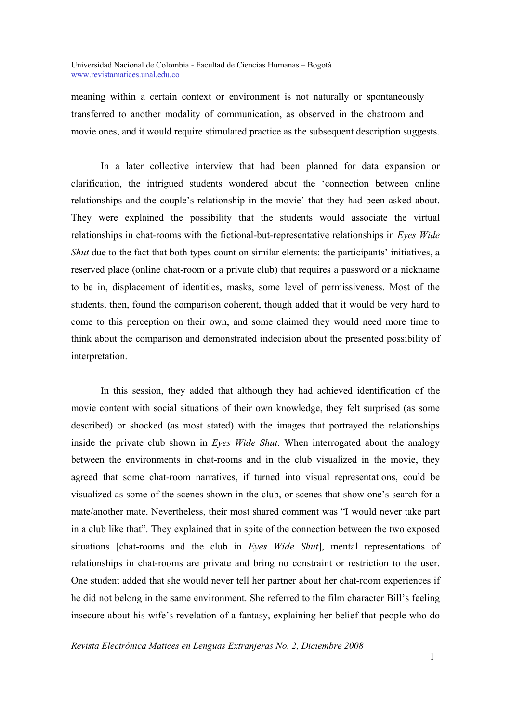meaning within a certain context or environment is not naturally or spontaneously transferred to another modality of communication, as observed in the chatroom and movie ones, and it would require stimulated practice as the subsequent description suggests.

In a later collective interview that had been planned for data expansion or clarification, the intrigued students wondered about the 'connection between online relationships and the couple's relationship in the movie' that they had been asked about. They were explained the possibility that the students would associate the virtual relationships in chat-rooms with the fictional-but-representative relationships in *Eyes Wide Shut* due to the fact that both types count on similar elements: the participants' initiatives, a reserved place (online chat-room or a private club) that requires a password or a nickname to be in, displacement of identities, masks, some level of permissiveness. Most of the students, then, found the comparison coherent, though added that it would be very hard to come to this perception on their own, and some claimed they would need more time to think about the comparison and demonstrated indecision about the presented possibility of interpretation.

In this session, they added that although they had achieved identification of the movie content with social situations of their own knowledge, they felt surprised (as some described) or shocked (as most stated) with the images that portrayed the relationships inside the private club shown in *Eyes Wide Shut*. When interrogated about the analogy between the environments in chat-rooms and in the club visualized in the movie, they agreed that some chat-room narratives, if turned into visual representations, could be visualized as some of the scenes shown in the club, or scenes that show one's search for a mate/another mate. Nevertheless, their most shared comment was "I would never take part in a club like that". They explained that in spite of the connection between the two exposed situations [chat-rooms and the club in *Eyes Wide Shut*], mental representations of relationships in chat-rooms are private and bring no constraint or restriction to the user. One student added that she would never tell her partner about her chat-room experiences if he did not belong in the same environment. She referred to the film character Bill's feeling insecure about his wife's revelation of a fantasy, explaining her belief that people who do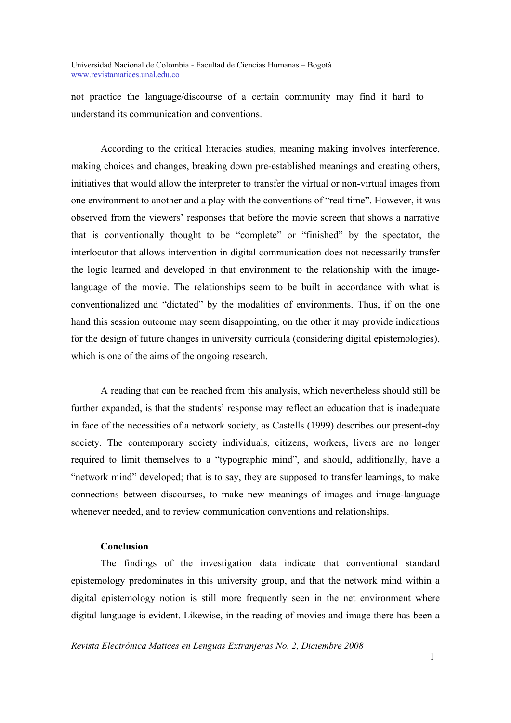not practice the language/discourse of a certain community may find it hard to understand its communication and conventions.

According to the critical literacies studies, meaning making involves interference, making choices and changes, breaking down pre-established meanings and creating others, initiatives that would allow the interpreter to transfer the virtual or non-virtual images from one environment to another and a play with the conventions of "real time". However, it was observed from the viewers' responses that before the movie screen that shows a narrative that is conventionally thought to be "complete" or "finished" by the spectator, the interlocutor that allows intervention in digital communication does not necessarily transfer the logic learned and developed in that environment to the relationship with the imagelanguage of the movie. The relationships seem to be built in accordance with what is conventionalized and "dictated" by the modalities of environments. Thus, if on the one hand this session outcome may seem disappointing, on the other it may provide indications for the design of future changes in university curricula (considering digital epistemologies), which is one of the aims of the ongoing research.

A reading that can be reached from this analysis, which nevertheless should still be further expanded, is that the students' response may reflect an education that is inadequate in face of the necessities of a network society, as Castells (1999) describes our present-day society. The contemporary society individuals, citizens, workers, livers are no longer required to limit themselves to a "typographic mind", and should, additionally, have a "network mind" developed; that is to say, they are supposed to transfer learnings, to make connections between discourses, to make new meanings of images and image-language whenever needed, and to review communication conventions and relationships.

#### **Conclusion**

The findings of the investigation data indicate that conventional standard epistemology predominates in this university group, and that the network mind within a digital epistemology notion is still more frequently seen in the net environment where digital language is evident. Likewise, in the reading of movies and image there has been a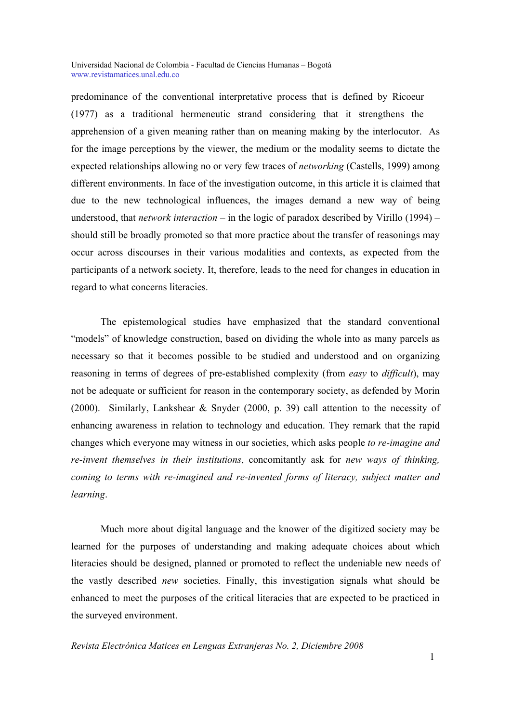predominance of the conventional interpretative process that is defined by Ricoeur (1977) as a traditional hermeneutic strand considering that it strengthens the apprehension of a given meaning rather than on meaning making by the interlocutor. As for the image perceptions by the viewer, the medium or the modality seems to dictate the expected relationships allowing no or very few traces of *networking* (Castells, 1999) among different environments. In face of the investigation outcome, in this article it is claimed that due to the new technological influences, the images demand a new way of being understood, that *network interaction* – in the logic of paradox described by Virillo (1994) – should still be broadly promoted so that more practice about the transfer of reasonings may occur across discourses in their various modalities and contexts, as expected from the participants of a network society. It, therefore, leads to the need for changes in education in regard to what concerns literacies.

The epistemological studies have emphasized that the standard conventional "models" of knowledge construction, based on dividing the whole into as many parcels as necessary so that it becomes possible to be studied and understood and on organizing reasoning in terms of degrees of pre-established complexity (from *easy* to *difficult*), may not be adequate or sufficient for reason in the contemporary society, as defended by Morin (2000). Similarly, Lankshear & Snyder (2000, p. 39) call attention to the necessity of enhancing awareness in relation to technology and education. They remark that the rapid changes which everyone may witness in our societies, which asks people *to re-imagine and re-invent themselves in their institutions*, concomitantly ask for *new ways of thinking, coming to terms with re-imagined and re-invented forms of literacy, subject matter and learning*.

Much more about digital language and the knower of the digitized society may be learned for the purposes of understanding and making adequate choices about which literacies should be designed, planned or promoted to reflect the undeniable new needs of the vastly described *new* societies. Finally, this investigation signals what should be enhanced to meet the purposes of the critical literacies that are expected to be practiced in the surveyed environment.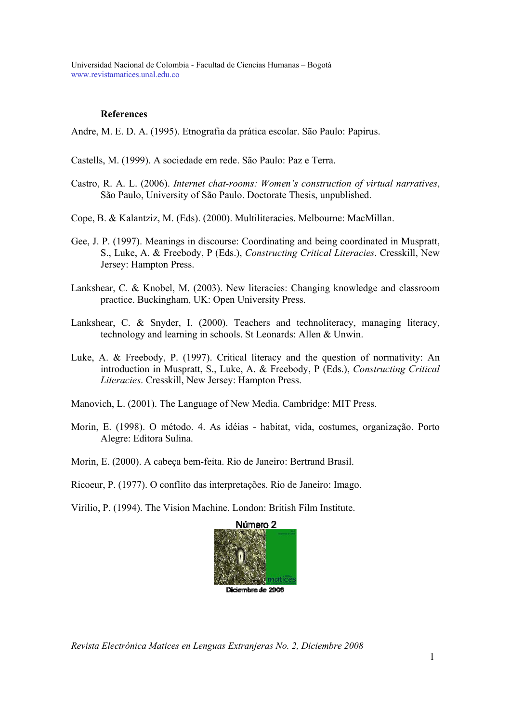# **References**

Andre, M. E. D. A. (1995). Etnografia da prática escolar. São Paulo: Papirus.

- Castells, M. (1999). A sociedade em rede. São Paulo: Paz e Terra.
- Castro, R. A. L. (2006). *Internet chat-rooms: Women's construction of virtual narratives*, São Paulo, University of São Paulo. Doctorate Thesis, unpublished.
- Cope, B. & Kalantziz, M. (Eds). (2000). Multiliteracies. Melbourne: MacMillan.
- Gee, J. P. (1997). Meanings in discourse: Coordinating and being coordinated in Muspratt, S., Luke, A. & Freebody, P (Eds.), *Constructing Critical Literacies*. Cresskill, New Jersey: Hampton Press.
- Lankshear, C. & Knobel, M. (2003). New literacies: Changing knowledge and classroom practice. Buckingham, UK: Open University Press.
- Lankshear, C. & Snyder, I. (2000). Teachers and technoliteracy, managing literacy, technology and learning in schools. St Leonards: Allen & Unwin.
- Luke, A. & Freebody, P. (1997). Critical literacy and the question of normativity: An introduction in Muspratt, S., Luke, A. & Freebody, P (Eds.), *Constructing Critical Literacies*. Cresskill, New Jersey: Hampton Press.
- Manovich, L. (2001). The Language of New Media. Cambridge: MIT Press.
- Morin, E. (1998). O método. 4. As idéias habitat, vida, costumes, organização. Porto Alegre: Editora Sulina.
- Morin, E. (2000). A cabeça bem-feita. Rio de Janeiro: Bertrand Brasil.
- Ricoeur, P. (1977). O conflito das interpretações. Rio de Janeiro: Imago.

Virilio, P. (1994). The Vision Machine. London: British Film Institute.